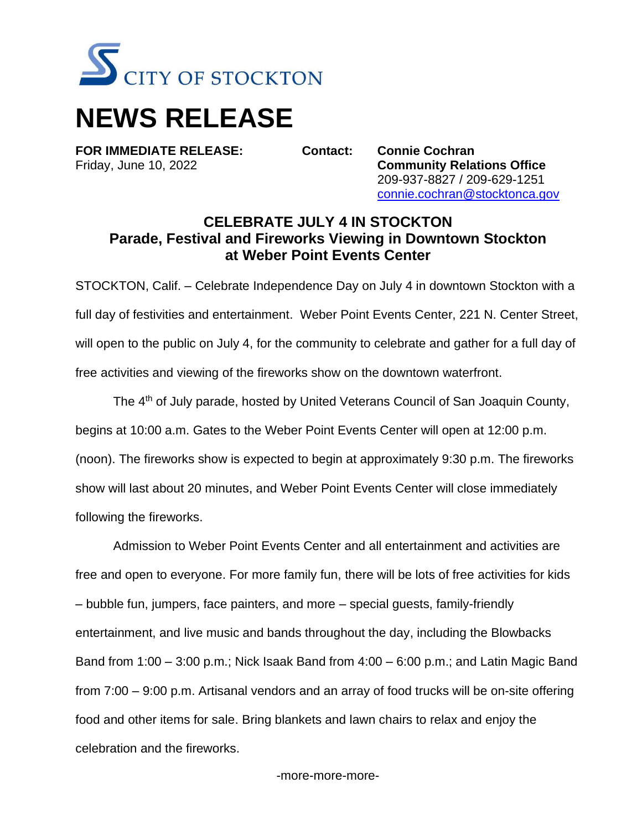

## **NEWS RELEASE**

**FOR IMMEDIATE RELEASE: Contact: Connie Cochran**

Friday, June 10, 2022 **Community Relations Office** 209-937-8827 / 209-629-1251 [connie.cochran@stocktonca.gov](mailto:connie.cochran@stocktonca.gov)

## **CELEBRATE JULY 4 IN STOCKTON Parade, Festival and Fireworks Viewing in Downtown Stockton at Weber Point Events Center**

STOCKTON, Calif. – Celebrate Independence Day on July 4 in downtown Stockton with a full day of festivities and entertainment. Weber Point Events Center, 221 N. Center Street, will open to the public on July 4, for the community to celebrate and gather for a full day of free activities and viewing of the fireworks show on the downtown waterfront.

The 4<sup>th</sup> of July parade, hosted by United Veterans Council of San Joaquin County, begins at 10:00 a.m. Gates to the Weber Point Events Center will open at 12:00 p.m. (noon). The fireworks show is expected to begin at approximately 9:30 p.m. The fireworks show will last about 20 minutes, and Weber Point Events Center will close immediately following the fireworks.

Admission to Weber Point Events Center and all entertainment and activities are free and open to everyone. For more family fun, there will be lots of free activities for kids – bubble fun, jumpers, face painters, and more – special guests, family-friendly entertainment, and live music and bands throughout the day, including the Blowbacks Band from 1:00 – 3:00 p.m.; Nick Isaak Band from 4:00 – 6:00 p.m.; and Latin Magic Band from 7:00 – 9:00 p.m. Artisanal vendors and an array of food trucks will be on-site offering food and other items for sale. Bring blankets and lawn chairs to relax and enjoy the celebration and the fireworks.